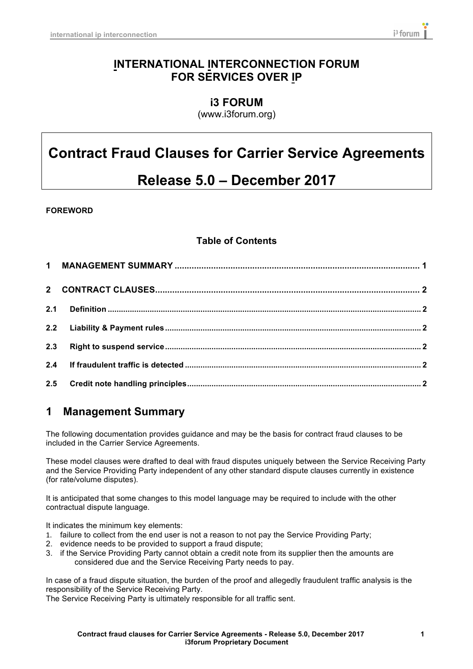### **INTERNATIONAL INTERCONNECTION FORUM FOR SERVICES OVER IP**

**i3 FORUM** (www.i3forum.org)

# **Contract Fraud Clauses for Carrier Service Agreements**

# **Release 5.0 – December 2017**

#### **FOREWORD**

#### **Table of Contents**

| 2.3 |  |
|-----|--|
|     |  |
|     |  |

## **1 Management Summary**

The following documentation provides guidance and may be the basis for contract fraud clauses to be included in the Carrier Service Agreements.

These model clauses were drafted to deal with fraud disputes uniquely between the Service Receiving Party and the Service Providing Party independent of any other standard dispute clauses currently in existence (for rate/volume disputes).

It is anticipated that some changes to this model language may be required to include with the other contractual dispute language.

It indicates the minimum key elements:

- 1. failure to collect from the end user is not a reason to not pay the Service Providing Party;
- 2. evidence needs to be provided to support a fraud dispute;
- 3. if the Service Providing Party cannot obtain a credit note from its supplier then the amounts are considered due and the Service Receiving Party needs to pay.

In case of a fraud dispute situation, the burden of the proof and allegedly fraudulent traffic analysis is the responsibility of the Service Receiving Party.

The Service Receiving Party is ultimately responsible for all traffic sent.